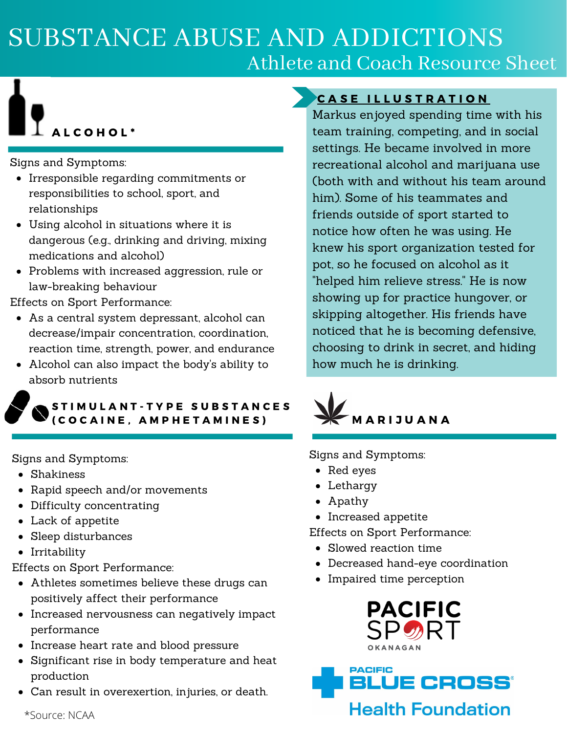# SUBSTANCE ABUSE AND ADDICTIONS Athlete and Coach Resource Sheet

# L C O H O L<sup>\*</sup>

Signs and Symptoms:

- Irresponsible regarding commitments or responsibilities to school, sport, and relationships
- Using alcohol in situations where it is dangerous (e.g., drinking and driving, mixing medications and alcohol)
- Problems with increased aggression, rule or law-breaking behaviour

Effects on Sport Performance:

- As a central system depressant, alcohol can decrease/impair concentration, coordination, reaction time, strength, power, and endurance
- Alcohol can also impact the body's ability to absorb nutrients

#### STIMULANT-TYPE SUBSTANCES ( C O C A I N E , A M P H E T A M I N E S )

Signs and Symptoms:

- Shakiness
- Rapid speech and/or movements
- Difficulty concentrating
- Lack of appetite
- Sleep disturbances
- Irritability

Effects on Sport Performance:

- Athletes sometimes believe these drugs can positively affect their performance
- Increased nervousness can negatively impact performance
- Increase heart rate and blood pressure
- Significant rise in body temperature and heat production
- Can result in overexertion, injuries, or death.

#### CASE ILLUSTRATION

Markus enjoyed spending time with his team training, competing, and in social settings. He became involved in more recreational alcohol and marijuana use (both with and without his team around him). Some of his teammates and friends outside of sport started to notice how often he was using. He knew his sport organization tested for pot, so he focused on alcohol as it "helped him relieve stress." He is now showing up for practice hungover, or skipping altogether. His friends have noticed that he is becoming defensive, choosing to drink in secret, and hiding how much he is drinking.



Signs and Symptoms:

- Red eyes
- Lethargy
- Apathy
- Increased appetite
- Effects on Sport Performance:
	- Slowed reaction time
	- Decreased hand-eye coordination
	- Impaired time perception